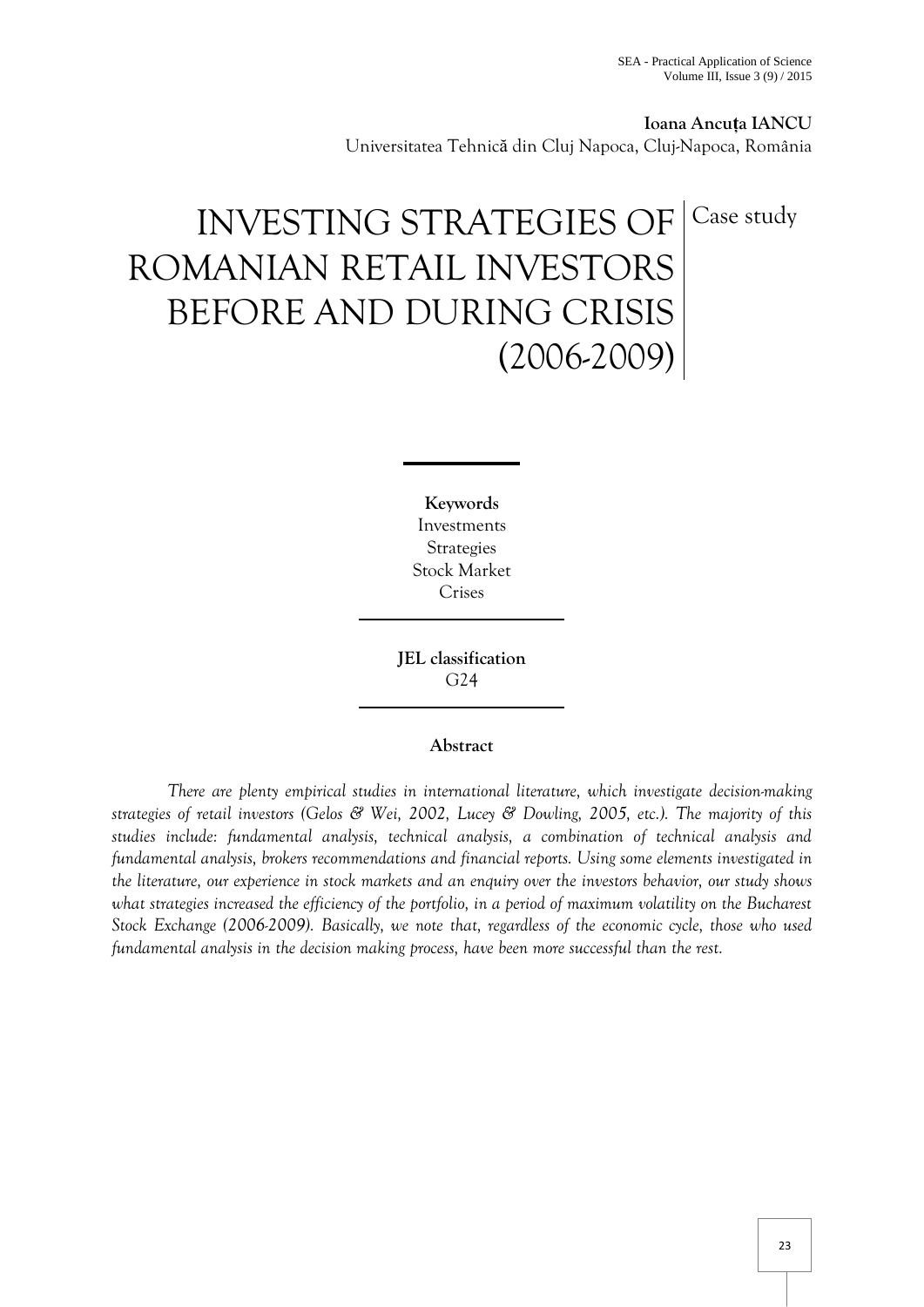**Ioana Ancuța IANCU** Universitatea Tehnică din Cluj Napoca, Cluj-Napoca, România

# INVESTING STRATEGIES OF ROMANIAN RETAIL INVESTORS BEFORE AND DURING CRISIS (2006-2009) Case study

**Keywords** Investments Strategies Stock Market Crises

**JEL classification** G24

# **Abstract**

*There are plenty empirical studies in international literature, which investigate decision-making strategies of retail investors (Gelos & Wei, 2002, Lucey & Dowling, 2005, etc.). The majority of this studies include: fundamental analysis, technical analysis, a combination of technical analysis and fundamental analysis, brokers recommendations and financial reports. Using some elements investigated in the literature, our experience in stock markets and an enquiry over the investors behavior, our study shows*  what strategies increased the efficiency of the portfolio, in a period of maximum volatility on the Bucharest *Stock Exchange (2006-2009). Basically, we note that, regardless of the economic cycle, those who used fundamental analysis in the decision making process, have been more successful than the rest.*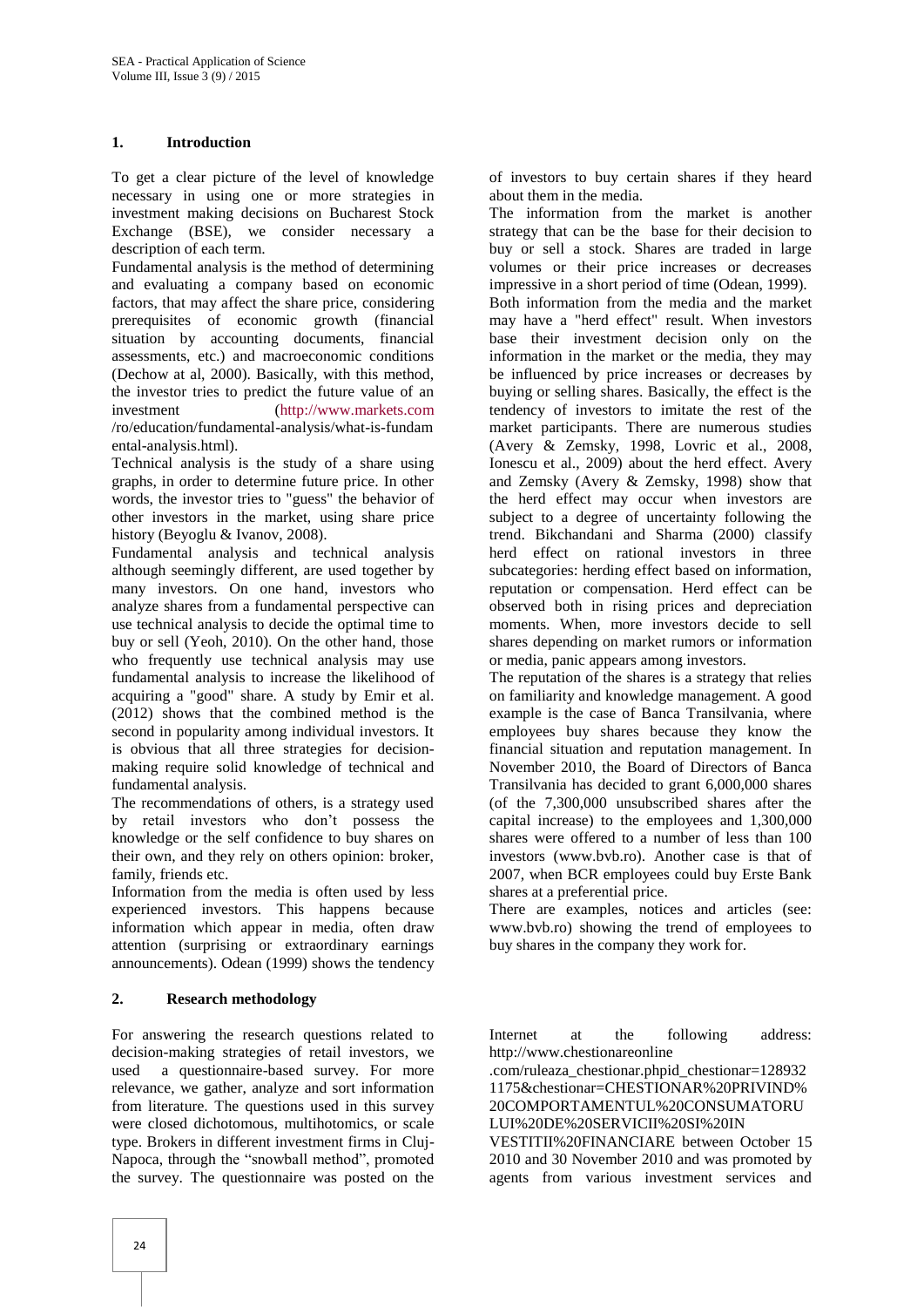### **1. Introduction**

To get a clear picture of the level of knowledge necessary in using one or more strategies in investment making decisions on Bucharest Stock Exchange (BSE), we consider necessary a description of each term.

Fundamental analysis is the method of determining and evaluating a company based on economic factors, that may affect the share price, considering prerequisites of economic growth (financial situation by accounting documents, financial assessments, etc.) and macroeconomic conditions (Dechow at al, 2000). Basically, with this method, the investor tries to predict the future value of an investment [\(http://www.markets.com](http://www.markets.com/) /ro/education/fundamental-analysis/what-is-fundam ental-analysis.html).

Technical analysis is the study of a share using graphs, in order to determine future price. In other words, the investor tries to "guess" the behavior of other investors in the market, using share price history (Beyoglu & Ivanov, 2008).

Fundamental analysis and technical analysis although seemingly different, are used together by many investors. On one hand, investors who analyze shares from a fundamental perspective can use technical analysis to decide the optimal time to buy or sell (Yeoh, 2010). On the other hand, those who frequently use technical analysis may use fundamental analysis to increase the likelihood of acquiring a "good" share. A study by Emir et al. (2012) shows that the combined method is the second in popularity among individual investors. It is obvious that all three strategies for decisionmaking require solid knowledge of technical and fundamental analysis.

The recommendations of others, is a strategy used by retail investors who don't possess the knowledge or the self confidence to buy shares on their own, and they rely on others opinion: broker, family, friends etc.

Information from the media is often used by less experienced investors. This happens because information which appear in media, often draw attention (surprising or extraordinary earnings announcements). Odean (1999) shows the tendency

#### **2. Research methodology**

For answering the research questions related to decision-making strategies of retail investors, we used a questionnaire-based survey. For more relevance, we gather, analyze and sort information from literature. The questions used in this survey were closed dichotomous, multihotomics, or scale type. Brokers in different investment firms in Cluj-Napoca, through the "snowball method", promoted the survey. The questionnaire was posted on the

of investors to buy certain shares if they heard about them in the media.

The information from the market is another strategy that can be the base for their decision to buy or sell a stock. Shares are traded in large volumes or their price increases or decreases impressive in a short period of time (Odean, 1999). Both information from the media and the market may have a "herd effect" result. When investors base their investment decision only on the information in the market or the media, they may be influenced by price increases or decreases by buying or selling shares. Basically, the effect is the tendency of investors to imitate the rest of the market participants. There are numerous studies (Avery & Zemsky, 1998, Lovric et al., 2008, Ionescu et al., 2009) about the herd effect. Avery and Zemsky (Avery & Zemsky, 1998) show that the herd effect may occur when investors are subject to a degree of uncertainty following the trend. Bikchandani and Sharma (2000) classify herd effect on rational investors in three subcategories: herding effect based on information, reputation or compensation. Herd effect can be observed both in rising prices and depreciation moments. When, more investors decide to sell shares depending on market rumors or information or media, panic appears among investors.

The reputation of the shares is a strategy that relies on familiarity and knowledge management. A good example is the case of Banca Transilvania, where employees buy shares because they know the financial situation and reputation management. In November 2010, the Board of Directors of Banca Transilvania has decided to grant 6,000,000 shares (of the 7,300,000 unsubscribed shares after the capital increase) to the employees and 1,300,000 shares were offered to a number of less than 100 investors (www.bvb.ro). Another case is that of 2007, when BCR employees could buy Erste Bank shares at a preferential price.

There are examples, notices and articles (see: www.bvb.ro) showing the trend of employees to buy shares in the company they work for.

Internet at the following address: http://www.chestionareonline

.com/ruleaza\_chestionar.phpid\_chestionar=128932 1175&chestionar=CHESTIONAR%20PRIVIND% 20COMPORTAMENTUL%20CONSUMATORU LUI%20DE%20SERVICII%20SI%20IN

VESTITII%20FINANCIARE between October 15 2010 and 30 November 2010 and was promoted by agents from various investment services and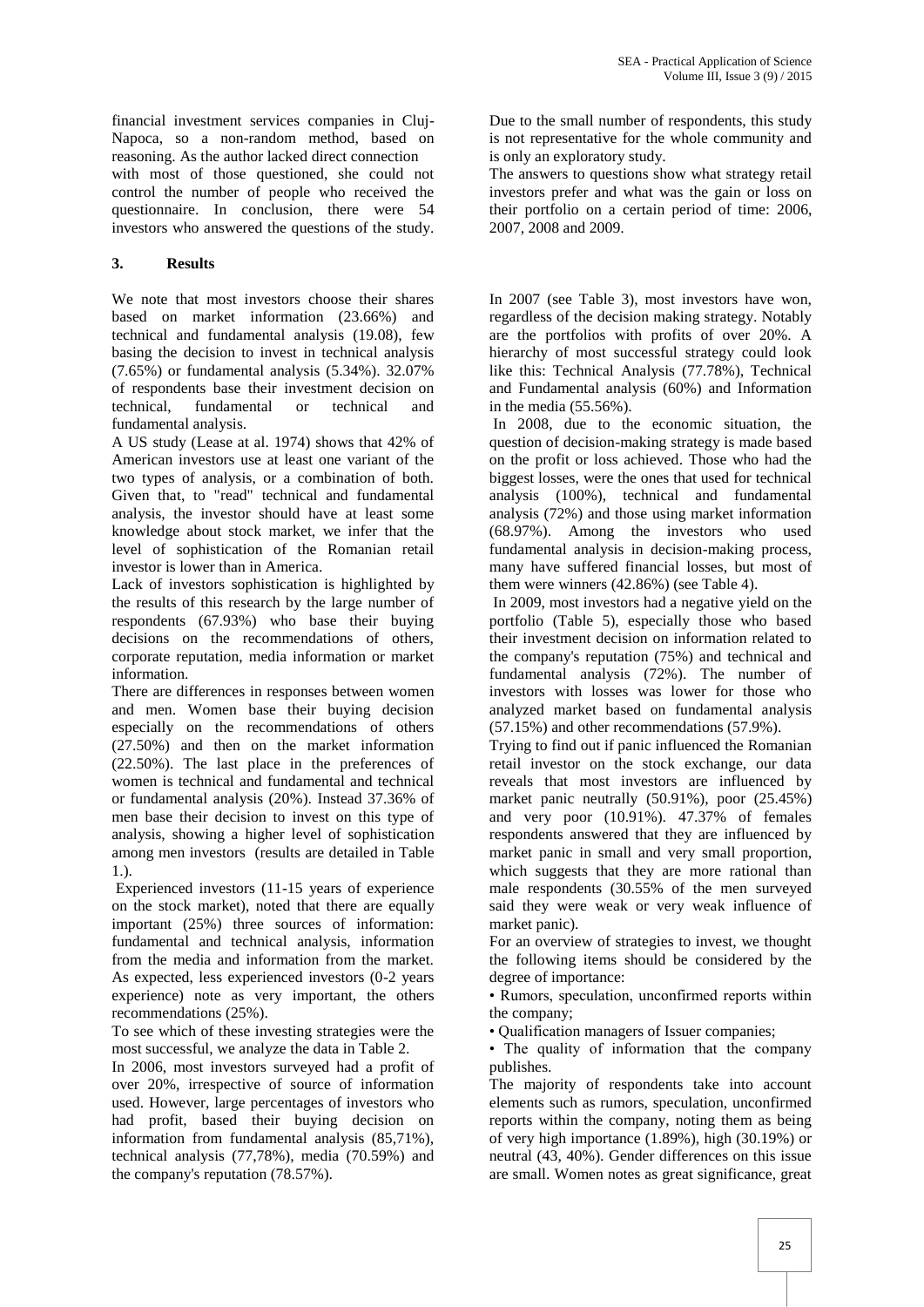financial investment services companies in Cluj-Napoca, so a non-random method, based on reasoning. As the author lacked direct connection with most of those questioned, she could not control the number of people who received the questionnaire. In conclusion, there were 54 investors who answered the questions of the study.

## **3. Results**

We note that most investors choose their shares based on market information (23.66%) and technical and fundamental analysis (19.08), few basing the decision to invest in technical analysis (7.65%) or fundamental analysis (5.34%). 32.07% of respondents base their investment decision on technical, fundamental or technical and fundamental analysis.

A US study (Lease at al. 1974) shows that 42% of American investors use at least one variant of the two types of analysis, or a combination of both. Given that, to "read" technical and fundamental analysis, the investor should have at least some knowledge about stock market, we infer that the level of sophistication of the Romanian retail investor is lower than in America.

Lack of investors sophistication is highlighted by the results of this research by the large number of respondents (67.93%) who base their buying decisions on the recommendations of others, corporate reputation, media information or market information.

There are differences in responses between women and men. Women base their buying decision especially on the recommendations of others (27.50%) and then on the market information (22.50%). The last place in the preferences of women is technical and fundamental and technical or fundamental analysis (20%). Instead 37.36% of men base their decision to invest on this type of analysis, showing a higher level of sophistication among men investors (results are detailed in Table 1.).

Experienced investors (11-15 years of experience on the stock market), noted that there are equally important (25%) three sources of information: fundamental and technical analysis, information from the media and information from the market. As expected, less experienced investors (0-2 years experience) note as very important, the others recommendations (25%).

To see which of these investing strategies were the most successful, we analyze the data in Table 2.

In 2006, most investors surveyed had a profit of over 20%, irrespective of source of information used. However, large percentages of investors who had profit, based their buying decision on information from fundamental analysis (85,71%), technical analysis (77,78%), media (70.59%) and the company's reputation (78.57%).

Due to the small number of respondents, this study is not representative for the whole community and is only an exploratory study.

The answers to questions show what strategy retail investors prefer and what was the gain or loss on their portfolio on a certain period of time: 2006, 2007, 2008 and 2009.

In 2007 (see Table 3), most investors have won, regardless of the decision making strategy. Notably are the portfolios with profits of over 20%. A hierarchy of most successful strategy could look like this: Technical Analysis (77.78%), Technical and Fundamental analysis (60%) and Information in the media (55.56%).

In 2008, due to the economic situation, the question of decision-making strategy is made based on the profit or loss achieved. Those who had the biggest losses, were the ones that used for technical analysis (100%), technical and fundamental analysis (72%) and those using market information (68.97%). Among the investors who used fundamental analysis in decision-making process, many have suffered financial losses, but most of them were winners (42.86%) (see Table 4).

In 2009, most investors had a negative yield on the portfolio (Table 5), especially those who based their investment decision on information related to the company's reputation (75%) and technical and fundamental analysis (72%). The number of investors with losses was lower for those who analyzed market based on fundamental analysis (57.15%) and other recommendations (57.9%).

Trying to find out if panic influenced the Romanian retail investor on the stock exchange, our data reveals that most investors are influenced by market panic neutrally (50.91%), poor (25.45%) and very poor (10.91%). 47.37% of females respondents answered that they are influenced by market panic in small and very small proportion, which suggests that they are more rational than male respondents (30.55% of the men surveyed said they were weak or very weak influence of market panic).

For an overview of strategies to invest, we thought the following items should be considered by the degree of importance:

• Rumors, speculation, unconfirmed reports within the company;

• Qualification managers of Issuer companies;

• The quality of information that the company publishes.

The majority of respondents take into account elements such as rumors, speculation, unconfirmed reports within the company, noting them as being of very high importance (1.89%), high (30.19%) or neutral (43, 40%). Gender differences on this issue are small. Women notes as great significance, great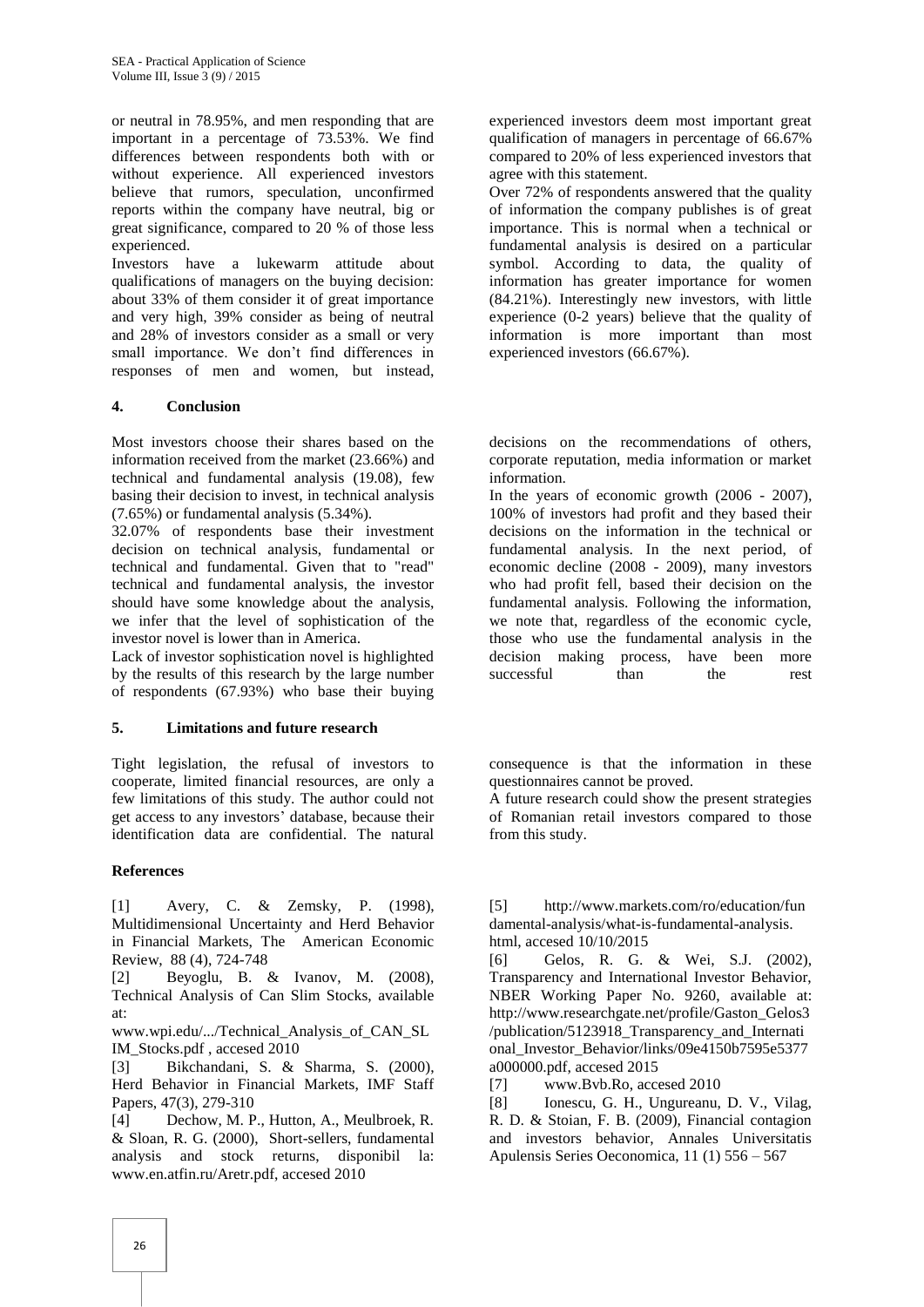or neutral in 78.95%, and men responding that are important in a percentage of 73.53%. We find differences between respondents both with or without experience. All experienced investors believe that rumors, speculation, unconfirmed reports within the company have neutral, big or great significance, compared to 20 % of those less experienced.

Investors have a lukewarm attitude about qualifications of managers on the buying decision: about 33% of them consider it of great importance and very high, 39% consider as being of neutral and 28% of investors consider as a small or very small importance. We don't find differences in responses of men and women, but instead,

#### **4. Conclusion**

Most investors choose their shares based on the information received from the market (23.66%) and technical and fundamental analysis (19.08), few basing their decision to invest, in technical analysis (7.65%) or fundamental analysis (5.34%).

32.07% of respondents base their investment decision on technical analysis, fundamental or technical and fundamental. Given that to "read" technical and fundamental analysis, the investor should have some knowledge about the analysis, we infer that the level of sophistication of the investor novel is lower than in America.

Lack of investor sophistication novel is highlighted by the results of this research by the large number of respondents (67.93%) who base their buying

#### **5. Limitations and future research**

Tight legislation, the refusal of investors to cooperate, limited financial resources, are only a few limitations of this study. The author could not get access to any investors' database, because their identification data are confidential. The natural

#### **References**

[1] Avery, C. & Zemsky, P. (1998), Multidimensional Uncertainty and Herd Behavior in Financial Markets, The American Economic Review, 88 (4), 724-748

[2] Beyoglu, B. & Ivanov, M. (2008), Technical Analysis of Can Slim Stocks, available at:

www.wpi.edu/.../Technical\_Analysis\_of\_CAN\_SL IM\_Stocks.pdf , accesed 2010

[3] Bikchandani, S. & Sharma, S. (2000), Herd Behavior in Financial Markets, IMF Staff Papers, 47(3), 279-310

[4] Dechow, M. P., Hutton, A., Meulbroek, R. & Sloan, R. G. (2000), Short-sellers, fundamental analysis and stock returns, disponibil la: www.en.atfin.ru/Aretr.pdf, accesed 2010

experienced investors deem most important great qualification of managers in percentage of 66.67% compared to 20% of less experienced investors that agree with this statement.

Over 72% of respondents answered that the quality of information the company publishes is of great importance. This is normal when a technical or fundamental analysis is desired on a particular symbol. According to data, the quality of information has greater importance for women (84.21%). Interestingly new investors, with little experience (0-2 years) believe that the quality of information is more important than most experienced investors (66.67%).

decisions on the recommendations of others, corporate reputation, media information or market information.

In the years of economic growth (2006 - 2007), 100% of investors had profit and they based their decisions on the information in the technical or fundamental analysis. In the next period, of economic decline (2008 - 2009), many investors who had profit fell, based their decision on the fundamental analysis. Following the information, we note that, regardless of the economic cycle, those who use the fundamental analysis in the decision making process, have been more successful than the rest

consequence is that the information in these questionnaires cannot be proved.

A future research could show the present strategies of Romanian retail investors compared to those from this study.

[5] http://www.markets.com/ro/education/fun damental-analysis/what-is-fundamental-analysis. html, accesed 10/10/2015

[6] Gelos, R. G. & Wei, S.J. (2002), Transparency and International Investor Behavior, NBER Working Paper No. 9260, available at: http://www.researchgate.net/profile/Gaston\_Gelos3 /publication/5123918\_Transparency\_and\_Internati onal\_Investor\_Behavior/links/09e4150b7595e5377 a000000.pdf, accesed 2015

[7] www.Bvb.Ro, accesed 2010

[8] Ionescu, G. H., Ungureanu, D. V., Vilag, R. D. & Stoian, F. B. (2009), Financial contagion and investors behavior, Annales Universitatis Apulensis Series Oeconomica, 11 (1) 556 – 567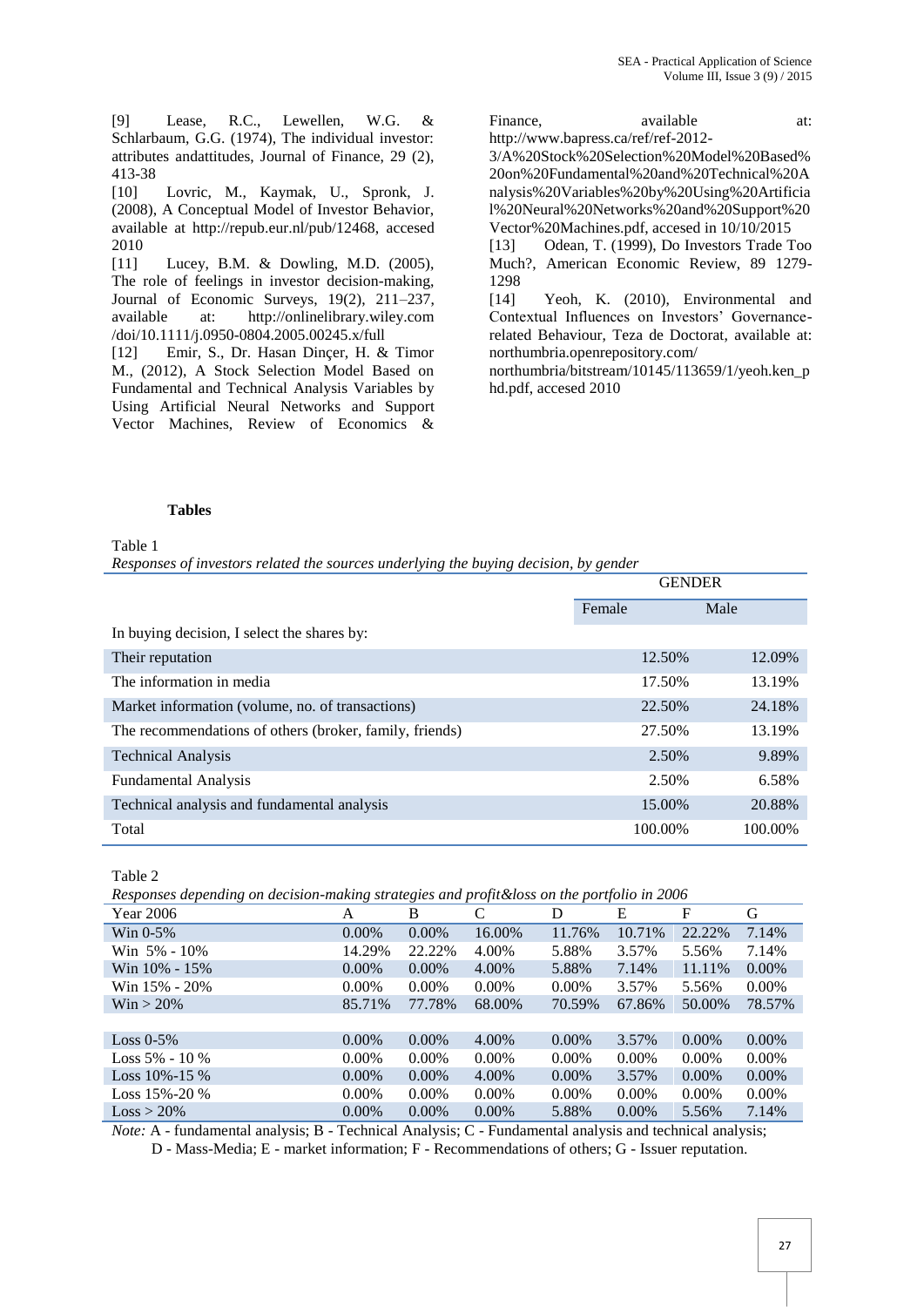[9] Lease, R.C., Lewellen, W.G. & Schlarbaum, G.G. (1974), The individual investor: attributes andattitudes, Journal of Finance, 29 (2), 413-38

[10] Lovric, M., Kaymak, U., Spronk, J. (2008), A Conceptual Model of Investor Behavior, available at http://repub.eur.nl/pub/12468, accesed 2010

[11] Lucey, B.M. & Dowling, M.D. (2005), The role of feelings in investor decision-making, Journal of Economic Surveys, 19(2), 211–237, available at: http://onlinelibrary.wiley.com /doi/10.1111/j.0950-0804.2005.00245.x/full

[12] Emir, S., Dr. Hasan Dinçer, H. & Timor M., (2012), A Stock Selection Model Based on Fundamental and Technical Analysis Variables by Using Artificial Neural Networks and Support Vector Machines, Review of Economics &

Finance, available at: http://www.bapress.ca/ref/ref-2012-

3/A%20Stock%20Selection%20Model%20Based% 20on%20Fundamental%20and%20Technical%20A nalysis%20Variables%20by%20Using%20Artificia l%20Neural%20Networks%20and%20Support%20 Vector%20Machines.pdf, accesed in 10/10/2015

[13] Odean, T. (1999), Do Investors Trade Too Much?, American Economic Review, 89 1279- 1298

[14] Yeoh, K. (2010), Environmental and Contextual Influences on Investors' Governancerelated Behaviour, Teza de Doctorat, available at: northumbria.openrepository.com/

northumbria/bitstream/10145/113659/1/yeoh.ken\_p hd.pdf, accesed 2010

#### **Tables**

#### Table 1

*Responses of investors related the sources underlying the buying decision, by gender*

|                                                         | <b>GENDER</b> |         |         |
|---------------------------------------------------------|---------------|---------|---------|
|                                                         | Female        |         | Male    |
| In buying decision, I select the shares by:             |               |         |         |
| Their reputation                                        |               | 12.50%  | 12.09%  |
| The information in media                                |               | 17.50%  | 13.19%  |
| Market information (volume, no. of transactions)        |               | 22.50%  | 24.18%  |
| The recommendations of others (broker, family, friends) |               | 27.50%  | 13.19%  |
| <b>Technical Analysis</b>                               |               | 2.50%   | 9.89%   |
| <b>Fundamental Analysis</b>                             |               | 2.50%   | 6.58%   |
| Technical analysis and fundamental analysis             |               | 15.00%  | 20.88%  |
| Total                                                   |               | 100.00% | 100.00% |

Table 2

*Responses depending on decision-making strategies and profit&loss on the portfolio in 2006*

| Year 2006           | A        | B        | C        | D        | E        | F        | G        |
|---------------------|----------|----------|----------|----------|----------|----------|----------|
| Win $0-5\%$         | $0.00\%$ | $0.00\%$ | 16.00%   | 11.76%   | 10.71%   | 22.22%   | 7.14%    |
| Win 5% - 10%        | 14.29%   | 22.22%   | 4.00%    | 5.88%    | 3.57%    | 5.56%    | 7.14%    |
| Win 10% - 15%       | $0.00\%$ | $0.00\%$ | 4.00%    | 5.88%    | 7.14%    | 11.11%   | $0.00\%$ |
| Win 15% - 20%       | $0.00\%$ | $0.00\%$ | $0.00\%$ | $0.00\%$ | 3.57%    | 5.56%    | $0.00\%$ |
| $\text{Win} > 20\%$ | 85.71%   | 77.78%   | 68.00%   | 70.59%   | 67.86%   | 50.00%   | 78.57%   |
|                     |          |          |          |          |          |          |          |
| Loss $0-5\%$        | $0.00\%$ | $0.00\%$ | 4.00%    | $0.00\%$ | 3.57%    | $0.00\%$ | $0.00\%$ |
| Loss $5\% - 10\%$   | $0.00\%$ | $0.00\%$ | $0.00\%$ | $0.00\%$ | $0.00\%$ | $0.00\%$ | $0.00\%$ |
| Loss $10\% - 15\%$  | $0.00\%$ | $0.00\%$ | 4.00%    | $0.00\%$ | 3.57%    | $0.00\%$ | $0.00\%$ |
| Loss $15\% - 20\%$  | $0.00\%$ | $0.00\%$ | $0.00\%$ | $0.00\%$ | $0.00\%$ | $0.00\%$ | 0.00%    |
| $Loss > 20\%$       | $0.00\%$ | $0.00\%$ | $0.00\%$ | 5.88%    | $0.00\%$ | 5.56%    | 7.14%    |

*Note:* A - fundamental analysis; B - Technical Analysis; C - Fundamental analysis and technical analysis; D - Mass-Media; E - market information; F - Recommendations of others; G - Issuer reputation.